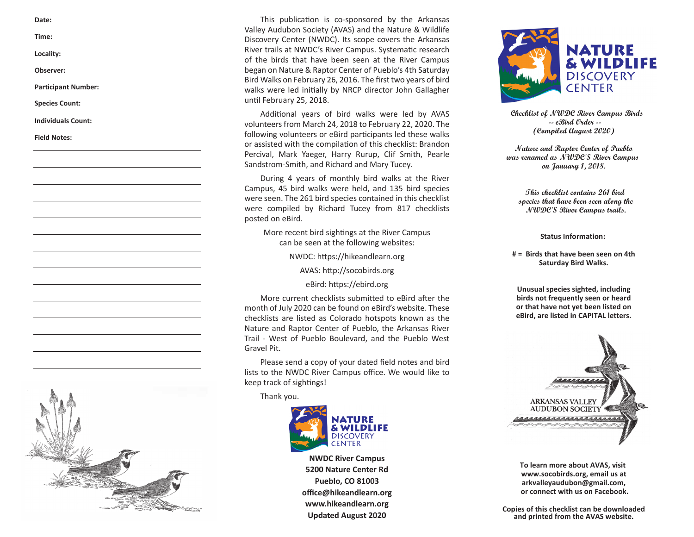**Time: Example 2018 CHECKLIST OF DISCOVERY CENTER (NWDC).** Its scope covers the Arkansas River trails at NWDC). Its scope covers the Arkansas **Example 2018 Comparison Computer Campus.** Systematic response at NWDC's River Campus. Systematic res Observer: example and the began on Nature & Raptor Center of Pueblo's 4th Saturday Bird Walks on February 26, 2016. The first two years of bird puu wansun coruary zu, zulu. The mst two years o Participant Number:<br>Walks were led initially by NRCP director John Gallagher **Species Count:** Additional years of bird walks were led by AVAS were led by AVASS were led by AVASS were led by AVAS **Date: This publication is co-sponsored by the Arkansas**  This publication is co-sponsored by the Arkansas **Date: This publication is co-sponsored by the Arkansas Valley Audubon Society (AVAS) and the Nature &** Valley Audubon Society (AVAS) and the Nature & Wildlife **Valley Audubon Society (AVAS) and the Nature & Locality: Systematic research of the birds that have been seen** River trails at NWDC's River Campus. Systematic research **Locality: Systematic research of the birds that have been seen** of the birds that have been seen at the River Campus **Time: Willey Audubon Society (AVAS)** and the Natu

Additional years of bird walks were led by AVAS **Checklist of NWDC River Campus Birds** Individuals Count:  $\frac{1}{2}$  volunteers from March 24, 2018 to February 22, 2020. The  $\frac{1}{2}$  effect on the set of  $\frac{1}{2}$  effect on the set of  $\frac{1}{2}$  effect on the set of  $\frac{1}{2}$  effect on the set of  $\frac{1}{2}$  e  $\frac{1}{2}$  The diverse habitat of our area includes mountains, largeiollowing volunteers or eBird participants led these Field Notes:<br>or assisted with the compilation of this checklist: Brandon<br>Nature and Raptox Center of Tueblo Percival, Mark Yaeger, Harry Rurup, Clif Smith, Pearle Sandstrom-Smith, and Richard and Mary Tucey.  $\text{t}_1 \text{ is a constant, and } \text{t}_2 \text{ is a constant, and } \text{t}_3 \text{ is a constant.}$  (Compiled August 2020) Field Notes: (Compiled Quart 2020) **Mary Tucey. was renamed as NWDC'S River Campus Mary Tucey. was renamed as NWDC'S River Campus During 4 years of monthly bird walks at the River** 

Brandon Percival, and assisted by Leon Bright, David Silver-During 4 years of more **Campus, 45 bird walks were held, and 135 bird species** During 4 years of monthly bird walks at the River  **During 4 years of monthly bird walks at the River were seen. The 261 bird species contained in this This checklist contains 261 bird** Campus, 45 bird walks were held, and 135 bird species **Campus, 45 bird walks were held, and 135 bird species** were seen. The 261 bird species contained in this checklist substitution of the species that have been seen along the opecies that have been seen atomy the compiled by Richard Tucey from 817 checklists **by Secure 2008** *compiled by Richard Tucey from 817 checklists* **changes compiled by Richard Tucey from 817 checklists changes** *cha* **More recent bird signals at the River Campus** posted on eBird. **were seen.** The 261 bird species contains 261 bird species contains 261 bird

**More recent bird sightings at the River Campus Compus Computer Campus Computer Campus** nt on a signings at the niver can be seen at the following websites: **New York on Athenation** experience on the following websites: **can be seen and separate website website website websites: Status Information: Status Information:** 

AVAS: http://socobirds.org

eBird: https://ebird.org<br>
Unusual species sighted, including

More current checklists submitted to eBird after the birds not frequently seen or heard month of July 2020 can be found on eBird's website. These **the contrary of that have not yet been listed on** month of sary 2020 can be found on eBird 3 website. These<br>checklists are listed as Colorado hotspots known as the **Pueblo Boulevard, are listed in CAPITAL letters.** uncommon are instead to contrader interpret with **Nature and Raptor Center of Pueblo, the Arkansas River** Trail - West of Pueblo Boulevard, and the Pueblo West Gravel Pit.

Please send a copy of your dated field notes and bird ricase senu a v lists to the NWDC River Campus office. We would like to keep track of sightings!<br> **Please send a copy of your date of your date of your date to keep track of sightings!**

**Thank you. lists to the NWDC River Committee Solution** 



**NWDC River Campus** \_ Trumpeter Swan \* **V V V** \_Redhead **C** u **<sup>C</sup>** \_Tundra Swan\* **V V V** \_Ring-necked Duck **C** r **<sup>C</sup> 5200 Nature Center Rd** \_Wood Duck **C C C C** \_ Greater Scaup **X** r \_Gadwall **C** f **C C** \_Lesser Scaup **C** u **<sup>C</sup> NWDC River Campus Pueblo, CO 81003** \_Eurasian Wigeon \* **V V V** \_SurfScoter **X X** r \_American Wigeon **C** f **C C** \_White-winged **office@hikeandlearn.org** www.hikeandlearn.org \_Mallard **C C C C www.hikeandlearn.org 5200 Nature Center Rd Copies of this checklist can be downloaded Pueblo, CO 81003 and printed from the AVAS website. office@hikeandlearn.org or connect with us on Facebook. Updated August 2020 Updated August 2020**



**on January 1, 2018. on January 1, 2018. Clif Smith, Pearle Sandstrom-Smith, and Richard and Nature and Raptor Center of Pueblo**

NWDC: https://hikeandlearn.org **#** = Birds that have been seen on 4th NWDC: https://hikeandlearn.org # = Birds that have been seen on<br>Saturday Bird Walks. **Saturday Bird Walks.** 

**These colorations are the found of Superintensity Section** of the *Lieumann* section of  $\mathbf{D}$  and  $\mathbf{D}$  are **Unusual species sighted, including** 



**To learn more about AVAS, visit or connect with us on Facebook. www.socobirds.org, email us at arkvalleyaudubon@gmail.com,**

**5200 Nature Center Rd Copies of this checklist can be downloaded Pueblo, CO 81003 and printed from the AVAS website. office@hikeandlearn.org**